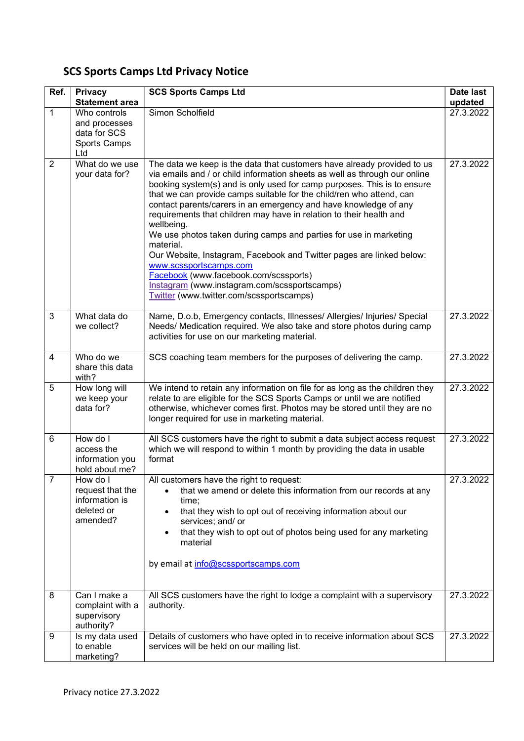## SCS Sports Camps Ltd Privacy Notice

| Ref.           | <b>Privacy</b><br><b>Statement area</b>                                  | <b>SCS Sports Camps Ltd</b>                                                                                                                                                                                                                                                                                                                                                                                                                                                                                                                                                                                                                                                                                                                                                                | Date last<br>updated |
|----------------|--------------------------------------------------------------------------|--------------------------------------------------------------------------------------------------------------------------------------------------------------------------------------------------------------------------------------------------------------------------------------------------------------------------------------------------------------------------------------------------------------------------------------------------------------------------------------------------------------------------------------------------------------------------------------------------------------------------------------------------------------------------------------------------------------------------------------------------------------------------------------------|----------------------|
| $\mathbf{1}$   | Who controls<br>and processes<br>data for SCS<br>Sports Camps<br>Ltd     | Simon Scholfield                                                                                                                                                                                                                                                                                                                                                                                                                                                                                                                                                                                                                                                                                                                                                                           | 27.3.2022            |
| $\overline{2}$ | What do we use<br>your data for?                                         | The data we keep is the data that customers have already provided to us<br>via emails and / or child information sheets as well as through our online<br>booking system(s) and is only used for camp purposes. This is to ensure<br>that we can provide camps suitable for the child/ren who attend, can<br>contact parents/carers in an emergency and have knowledge of any<br>requirements that children may have in relation to their health and<br>wellbeing.<br>We use photos taken during camps and parties for use in marketing<br>material.<br>Our Website, Instagram, Facebook and Twitter pages are linked below:<br>www.scssportscamps.com<br>Facebook (www.facebook.com/scssports)<br>Instagram (www.instagram.com/scssportscamps)<br>Twitter (www.twitter.com/scssportscamps) | 27.3.2022            |
| 3              | What data do<br>we collect?                                              | Name, D.o.b, Emergency contacts, Illnesses/ Allergies/ Injuries/ Special<br>Needs/ Medication required. We also take and store photos during camp<br>activities for use on our marketing material.                                                                                                                                                                                                                                                                                                                                                                                                                                                                                                                                                                                         | 27.3.2022            |
| 4              | Who do we<br>share this data<br>with?                                    | SCS coaching team members for the purposes of delivering the camp.                                                                                                                                                                                                                                                                                                                                                                                                                                                                                                                                                                                                                                                                                                                         | 27.3.2022            |
| 5              | How long will<br>we keep your<br>data for?                               | We intend to retain any information on file for as long as the children they<br>relate to are eligible for the SCS Sports Camps or until we are notified<br>otherwise, whichever comes first. Photos may be stored until they are no<br>longer required for use in marketing material.                                                                                                                                                                                                                                                                                                                                                                                                                                                                                                     | 27.3.2022            |
| 6              | How do I<br>access the<br>information you<br>hold about me?              | All SCS customers have the right to submit a data subject access request<br>which we will respond to within 1 month by providing the data in usable<br>format                                                                                                                                                                                                                                                                                                                                                                                                                                                                                                                                                                                                                              | 27.3.2022            |
| 7              | How do I<br>request that the<br>information is<br>deleted or<br>amended? | All customers have the right to request:<br>that we amend or delete this information from our records at any<br>$\bullet$<br>time;<br>that they wish to opt out of receiving information about our<br>$\bullet$<br>services; and/ or<br>that they wish to opt out of photos being used for any marketing<br>$\bullet$<br>material<br>by email at info@scssportscamps.com                                                                                                                                                                                                                                                                                                                                                                                                                   | 27.3.2022            |
| 8              | Can I make a<br>complaint with a<br>supervisory<br>authority?            | All SCS customers have the right to lodge a complaint with a supervisory<br>authority.                                                                                                                                                                                                                                                                                                                                                                                                                                                                                                                                                                                                                                                                                                     | 27.3.2022            |
| 9              | Is my data used<br>to enable<br>marketing?                               | Details of customers who have opted in to receive information about SCS<br>services will be held on our mailing list.                                                                                                                                                                                                                                                                                                                                                                                                                                                                                                                                                                                                                                                                      | 27.3.2022            |